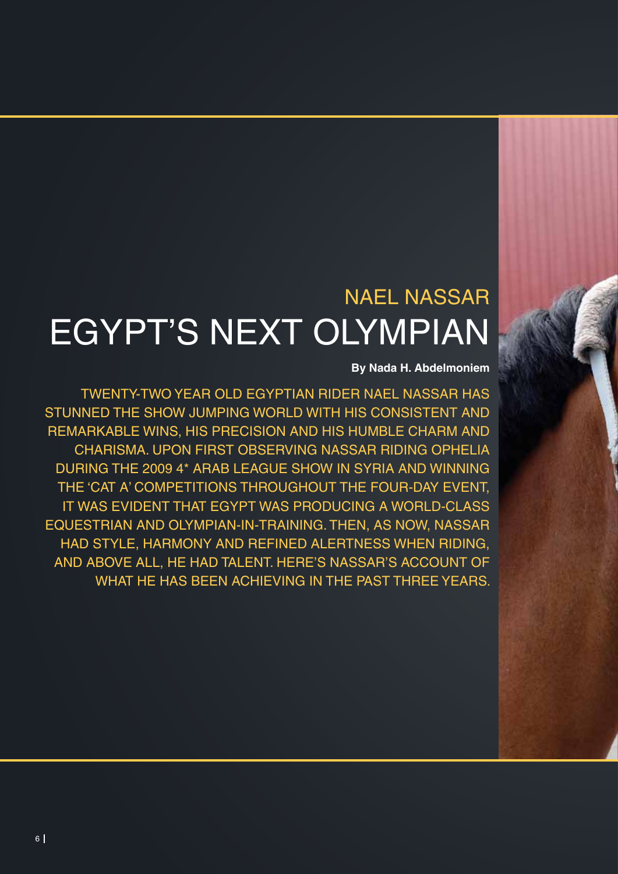# NAEL NASSAR EGYPT'S NEXT OLYMPIAN

## **By Nada H. Abdelmoniem**

TWENTY-TWO YEAR OLD EGYPTIAN RIDER NAEL NASSAR HAS STUNNED THE SHOW JUMPING WORLD WITH HIS CONSISTENT AND REMARKABLE WINS, HIS PRECISION AND HIS HUMBLE CHARM AND CHARISMA. UPON FIRST OBSERVING NASSAR RIDING OPHELIA DURING THE 2009 4\* ARAB LEAGUE SHOW IN SYRIA AND WINNING THE 'CAT A' COMPETITIONS THROUGHOUT THE FOUR-DAY EVENT, IT WAS EVIDENT THAT EGYPT WAS PRODUCING A WORLD-CLASS EQUESTRIAN AND OLYMPIAN-IN-TRAINING. THEN, AS NOW, NASSAR HAD STYLE, HARMONY AND REFINED ALERTNESS WHEN RIDING, AND ABOVE ALL, HE HAD TALENT. HERE'S NASSAR'S ACCOUNT OF WHAT HE HAS BEEN ACHIEVING IN THE PAST THREE YEARS.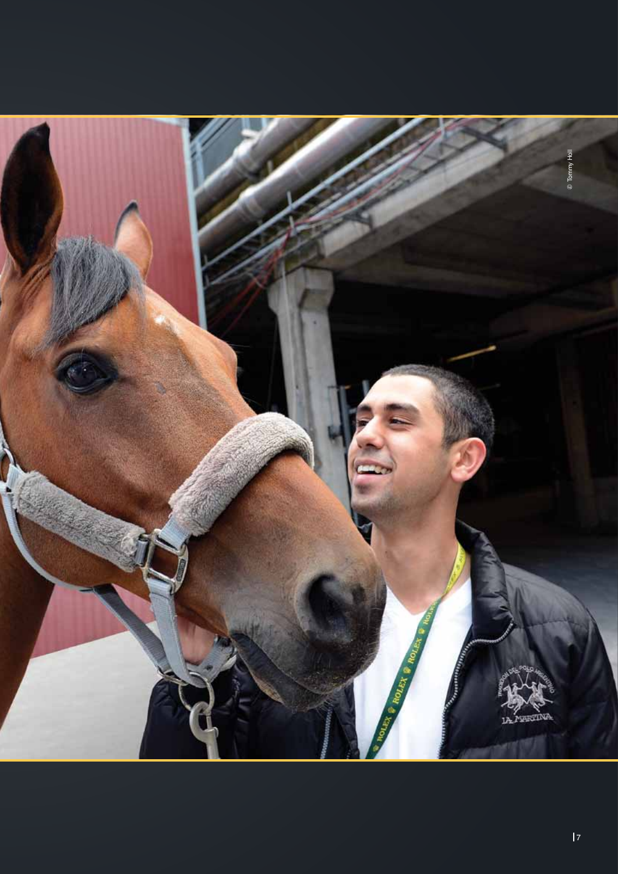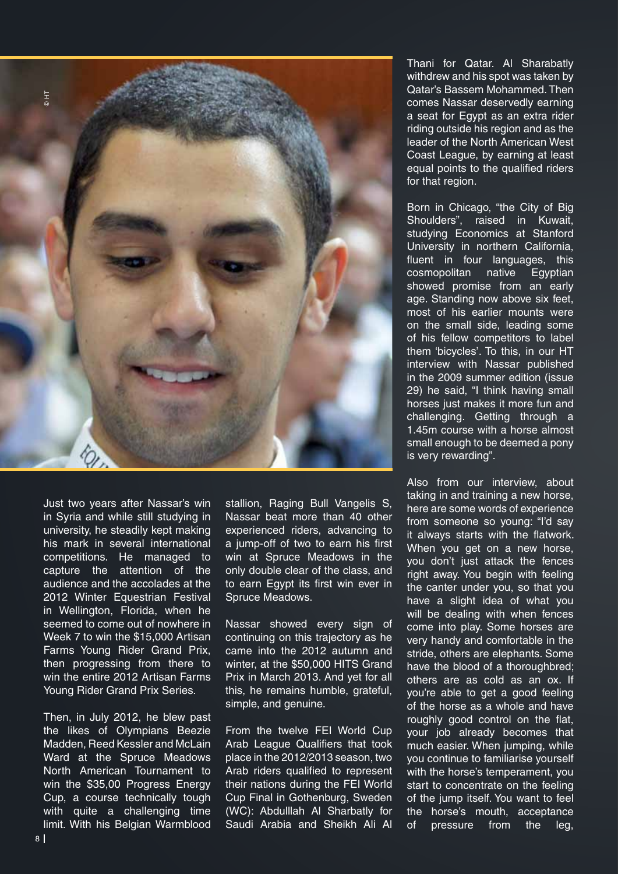

Just two years after Nassar's win in Syria and while still studying in university, he steadily kept making his mark in several international competitions. He managed to capture the attention of the audience and the accolades at the 2012 Winter Equestrian Festival in Wellington, Florida, when he seemed to come out of nowhere in Week 7 to win the \$15,000 Artisan Farms Young Rider Grand Prix, then progressing from there to win the entire 2012 Artisan Farms Young Rider Grand Prix Series.

Then, in July 2012, he blew past the likes of Olympians Beezie Madden, Reed Kessler and McLain Ward at the Spruce Meadows North American Tournament to win the \$35,00 Progress Energy Cup, a course technically tough with quite a challenging time limit. With his Belgian Warmblood

stallion, Raging Bull Vangelis S, Nassar beat more than 40 other experienced riders, advancing to a jump-off of two to earn his first win at Spruce Meadows in the only double clear of the class, and to earn Egypt its first win ever in Spruce Meadows.

Nassar showed every sign of continuing on this trajectory as he came into the 2012 autumn and winter, at the \$50,000 HITS Grand Prix in March 2013. And yet for all this, he remains humble, grateful, simple, and genuine.

From the twelve FEI World Cup Arab League Qualifiers that took place in the 2012/2013 season, two Arab riders qualified to represent their nations during the FEI World Cup Final in Gothenburg, Sweden (WC): Abdulllah Al Sharbatly for Saudi Arabia and Sheikh Ali Al Thani for Qatar. Al Sharabatly withdrew and his spot was taken by Qatar's Bassem Mohammed. Then comes Nassar deservedly earning a seat for Egypt as an extra rider riding outside his region and as the leader of the North American West Coast League, by earning at least equal points to the qualified riders for that region.

Born in Chicago, "the City of Big Shoulders", raised in Kuwait, studying Economics at Stanford University in northern California, fluent in four languages, this cosmopolitan native Egyptian showed promise from an early age. Standing now above six feet, most of his earlier mounts were on the small side, leading some of his fellow competitors to label them 'bicycles'. To this, in our HT interview with Nassar published in the 2009 summer edition (issue 29) he said, "I think having small horses just makes it more fun and challenging. Getting through a 1.45m course with a horse almost small enough to be deemed a pony is very rewarding".

Also from our interview, about taking in and training a new horse, here are some words of experience from someone so young: "I'd say it always starts with the flatwork. When you get on a new horse, you don't just attack the fences right away. You begin with feeling the canter under you, so that you have a slight idea of what you will be dealing with when fences come into play. Some horses are very handy and comfortable in the stride, others are elephants. Some have the blood of a thoroughbred; others are as cold as an ox. If you're able to get a good feeling of the horse as a whole and have roughly good control on the flat, your job already becomes that much easier. When jumping, while you continue to familiarise yourself with the horse's temperament, you start to concentrate on the feeling of the jump itself. You want to feel the horse's mouth, acceptance of pressure from the leg,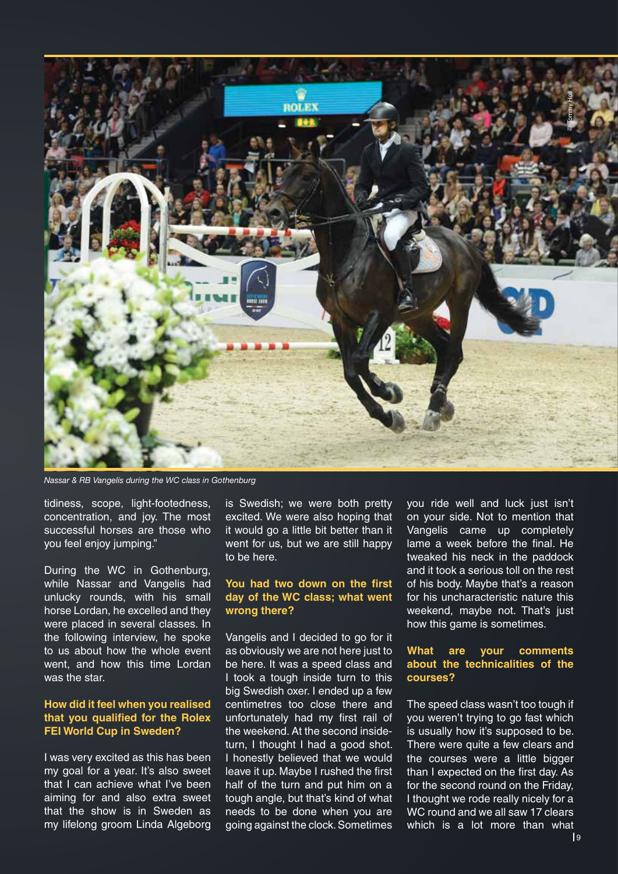

*Nassar & RB Vangelis during the WC class in Gothenburg*

tidiness, scope, light-footedness, concentration, and joy. The most successful horses are those who you feel enjoy jumping."

During the WC in Gothenburg, while Nassar and Vangelis had unlucky rounds, with his small horse Lordan, he excelled and they were placed in several classes. In the following interview, he spoke to us about how the whole event went, and how this time Lordan was the star.

#### **How did it feel when you realised that you qualified for the Rolex FEI World Cup in Sweden?**

I was very excited as this has been my goal for a year. It's also sweet that I can achieve what I've been aiming for and also extra sweet that the show is in Sweden as my lifelong groom Linda Algeborg is Swedish; we were both pretty excited. We were also hoping that it would go a little bit better than it went for us, but we are still happy to be here.

### **You had two down on the first day of the WC class; what went wrong there?**

Vangelis and I decided to go for it as obviously we are not here just to be here. It was a speed class and I took a tough inside turn to this big Swedish oxer. I ended up a few centimetres too close there and unfortunately had my first rail of the weekend. At the second insideturn, I thought I had a good shot. I honestly believed that we would leave it up. Maybe I rushed the first half of the turn and put him on a tough angle, but that's kind of what needs to be done when you are going against the clock. Sometimes you ride well and luck just isn't on your side. Not to mention that Vangelis came up completely lame a week before the final. He tweaked his neck in the paddock and it took a serious toll on the rest of his body. Maybe that's a reason for his uncharacteristic nature this weekend, maybe not. That's just how this game is sometimes.

### **What are your comments about the technicalities of the courses?**

The speed class wasn't too tough if you weren't trying to go fast which is usually how it's supposed to be. There were quite a few clears and the courses were a little bigger than I expected on the first day. As for the second round on the Friday, I thought we rode really nicely for a WC round and we all saw 17 clears which is a lot more than what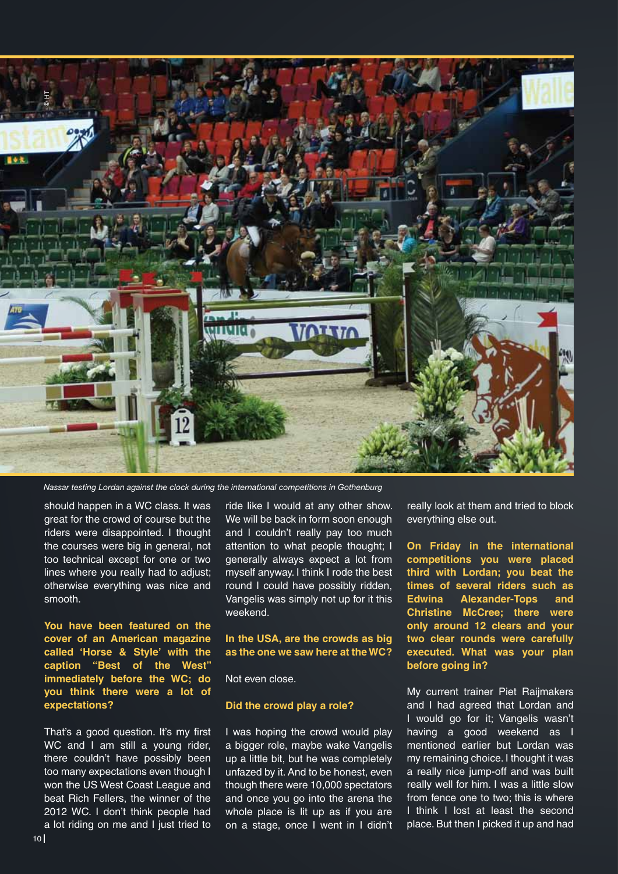

should happen in a WC class. It was great for the crowd of course but the riders were disappointed. I thought the courses were big in general, not too technical except for one or two lines where you really had to adjust; otherwise everything was nice and smooth.

**You have been featured on the cover of an American magazine called 'Horse & Style' with the caption "Best of the West" immediately before the WC; do you think there were a lot of expectations?** 

That's a good question. It's my first WC and I am still a young rider, there couldn't have possibly been too many expectations even though I won the US West Coast League and beat Rich Fellers, the winner of the 2012 WC. I don't think people had a lot riding on me and I just tried to

ride like I would at any other show. We will be back in form soon enough and I couldn't really pay too much attention to what people thought; I generally always expect a lot from myself anyway. I think I rode the best round I could have possibly ridden, Vangelis was simply not up for it this weekend.

#### **In the USA, are the crowds as big as the one we saw here at the WC?**

Not even close.

#### **Did the crowd play a role?**

I was hoping the crowd would play a bigger role, maybe wake Vangelis up a little bit, but he was completely unfazed by it. And to be honest, even though there were 10,000 spectators and once you go into the arena the whole place is lit up as if you are on a stage, once I went in I didn't really look at them and tried to block everything else out.

**On Friday in the international competitions you were placed third with Lordan; you beat the times of several riders such as Edwina Alexander-Tops and Christine McCree; there were only around 12 clears and your two clear rounds were carefully executed. What was your plan before going in?**

My current trainer Piet Raijmakers and I had agreed that Lordan and I would go for it; Vangelis wasn't having a good weekend as I mentioned earlier but Lordan was my remaining choice. I thought it was a really nice jump-off and was built really well for him. I was a little slow from fence one to two; this is where I think I lost at least the second place. But then I picked it up and had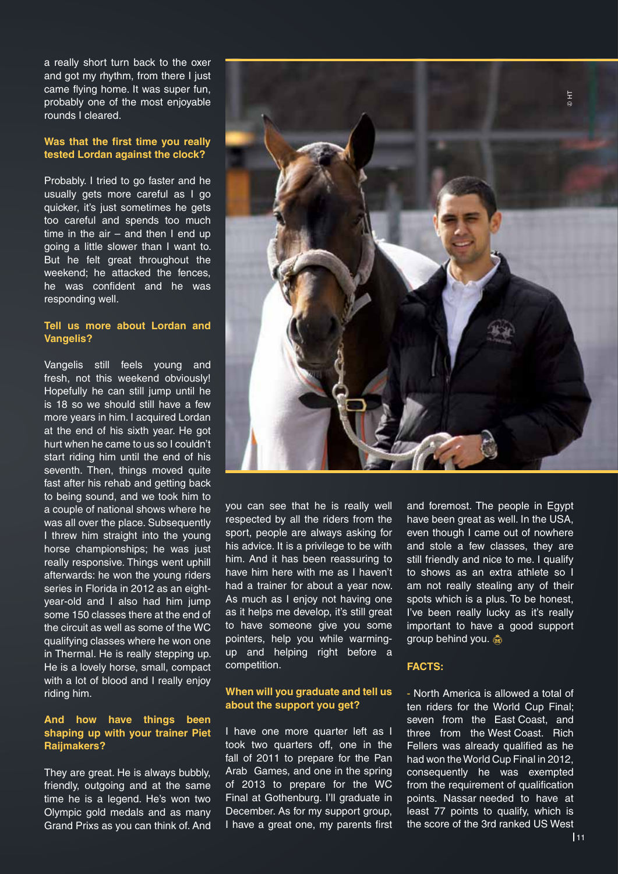a really short turn back to the oxer and got my rhythm, from there I just came flying home. It was super fun, probably one of the most enjoyable rounds I cleared.

#### **Was that the first time you really tested Lordan against the clock?**

Probably. I tried to go faster and he usually gets more careful as I go quicker, it's just sometimes he gets too careful and spends too much time in the  $air - and$  then I end up going a little slower than I want to. But he felt great throughout the weekend; he attacked the fences, he was confident and he was responding well.

#### **Tell us more about Lordan and Vangelis?**

Vangelis still feels young and fresh, not this weekend obviously! Hopefully he can still jump until he is 18 so we should still have a few more years in him. I acquired Lordan at the end of his sixth year. He got hurt when he came to us so I couldn't start riding him until the end of his seventh. Then, things moved quite fast after his rehab and getting back to being sound, and we took him to a couple of national shows where he was all over the place. Subsequently I threw him straight into the young horse championships; he was just really responsive. Things went uphill afterwards: he won the young riders series in Florida in 2012 as an eightyear-old and I also had him jump some 150 classes there at the end of the circuit as well as some of the WC qualifying classes where he won one in Thermal. He is really stepping up. He is a lovely horse, small, compact with a lot of blood and I really enjoy riding him.

#### **And how have things been shaping up with your trainer Piet Raijmakers?**

They are great. He is always bubbly, friendly, outgoing and at the same time he is a legend. He's won two Olympic gold medals and as many Grand Prixs as you can think of. And



you can see that he is really well respected by all the riders from the sport, people are always asking for his advice. It is a privilege to be with him. And it has been reassuring to have him here with me as I haven't had a trainer for about a year now. As much as I enjoy not having one as it helps me develop, it's still great to have someone give you some pointers, help you while warmingup and helping right before a competition.

#### **When will you graduate and tell us about the support you get?**

I have one more quarter left as I took two quarters off, one in the fall of 2011 to prepare for the Pan Arab Games, and one in the spring of 2013 to prepare for the WC Final at Gothenburg. I'll graduate in December. As for my support group, I have a great one, my parents first and foremost. The people in Egypt have been great as well. In the USA, even though I came out of nowhere and stole a few classes, they are still friendly and nice to me. I qualify to shows as an extra athlete so I am not really stealing any of their spots which is a plus. To be honest, I've been really lucky as it's really important to have a good support group behind you.

#### **FACTS:**

- North America is allowed a total of ten riders for the World Cup Final; seven from the East Coast, and three from the West Coast. Rich Fellers was already qualified as he had won the World Cup Final in 2012, consequently he was exempted from the requirement of qualification points. Nassar needed to have at least 77 points to qualify, which is